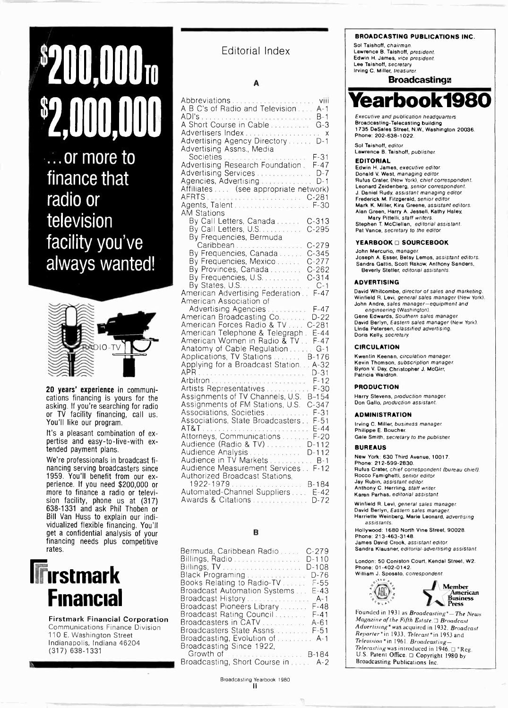# $\mathbf{3200.000}$  TO  $\phantom{0}^{\text{Eddronal}}$ \$1,000,000

...or more to finance that radio or television facility you've always wanted!



20 years' experience in communications financing is yours for the asking. If you're searching for radio or TV facility financing, call us. You'll like our program.

It's a pleasant combination of expertise and easy -to -live -with extended payment plans.

We're professionals in broadcast financing serving broadcasters since 1959. You'll benefit from our experience. If you need \$200,000 or more to finance a radio or television facility, phone us at (317) 638-1331 and ask Phil Thoben or Bill Van Huss to explain our individualized flexible financing. You'll get a confidential analysis of your financing needs plus competitive rates.



Firstmark Financial Corporation Communications Finance Division 110 E. Washington Street Indianapolis, Indiana 46204 (317) 638-1331

# Editorial Index

#### A

|                                        | earbook1980                                                                                      |
|----------------------------------------|--------------------------------------------------------------------------------------------------|
|                                        | Executive and publication headquarters                                                           |
| A Short Course in Cable  G-3           | Broadcasting-Telecasting building                                                                |
|                                        | 1735 DeSales Street, N.W., Washington 20036.                                                     |
| X                                      | Phone: 202-638-1022.                                                                             |
| Advertising Agency DirectoryD-1        | Sol Taishoff, editor.                                                                            |
| Advertising Assns., Media              | Lawrence B. Taishoff, publisher.                                                                 |
| Societies  F-31                        | <b>EDITORIAL</b>                                                                                 |
| Advertising Research Foundation. F-47  | Edwin H. James, executive editor.                                                                |
| Advertising Services  D-7              | Donald V. West, managing editor.                                                                 |
|                                        | Rufus Crater, (New York), chief correspondent.                                                   |
| Affiliates  (see appropriate network)  | Leonard Zeidenberg, senior correspondent.<br>J. Daniel Rudy, assistant managing editor.          |
|                                        | Frederick M. Fitzgerald, senior editor.                                                          |
| Agents, Talent  F-30                   | Mark K. Miller, Kira Greene, assistant editors.                                                  |
| AM Stations                            | Alan Green, Harry A. Jesseli, Kathy Haley,<br>Mary Pittelli, staff writers.                      |
| By Call Letters, Canada  C-313         | Stephen T. McClellan, editorial assistant.                                                       |
| By Call Letters, U.S. C-295            | Pat Vance, secretary to the editor.                                                              |
| By Frequencies, Bermuda                |                                                                                                  |
| Caribbean C-279                        | <b>YEARBOOK □ SOURCEBOOK</b>                                                                     |
| By Frequencies, Canada C-345           | John Mercurio, manager.                                                                          |
| By Frequencies, Mexico  C-277          | Joseph A. Esser, Betsy Lemos, assistant editors.<br>Sandra Gattis, Scott Rakow, Anthony Sanders, |
| By Provinces, Canada  C-262            | Beverly Stetler, editorial assistants.                                                           |
| By Frequencies, U.S.  C-314            |                                                                                                  |
| By States, U.S. C-1                    | <b>ADVERTISING</b>                                                                               |
| American Advertising Federation F-47   | David Whitcombe, director of sales and marketing.                                                |
| American Association of                | Winfield R. Levi, general sales manager (New York).                                              |
| Advertising Agencies  F-47             | John Andre, sales manager-equipment and<br>engineering (Washington).                             |
| American Broadcasting Co. D-22         | Gene Edwards, Southern sales manager.                                                            |
| American Forces Radio & TV C-281       | David Berlyn, Eastern sales manager (New York).                                                  |
| American Telephone & Telegraph. E-44   | Linda Petersen, classified advertising.<br>Doris Kelly, secretary.                               |
| American Women in Radio & TV. F-47     |                                                                                                  |
| Anatomy of Cable Regulation G-1        | <b>CIRCULATION</b>                                                                               |
| Applications, TV Stations  B-176       | Kwentin Keenan, circulation manager.                                                             |
| Applying for a Broadcast Station A-32  | Kevin Thomson, subscription manager.                                                             |
|                                        | Byron V. Day, Christopher J. McGirr,<br>Patricia Waldron.                                        |
|                                        |                                                                                                  |
| Artists Representatives  F-30          | <b>PRODUCTION</b>                                                                                |
| Assignments of TV Channels, U.S. B-154 | Harry Stevens, production manager.                                                               |
| Assignments of FM Stations, U.S. C-347 | Don Gallo, production assistant.                                                                 |
| Associations, Societies  F-31          |                                                                                                  |
| Associations, State Broadcasters F-51  | <b>ADMINISTRATION</b>                                                                            |
|                                        | Irving C. Miller, business manager.                                                              |
| Attorneys, Communications F-20         | Philippe E. Boucher.<br>Gale Smith, secretary to the publisher.                                  |
| Audience (Radio & TV) D-112            |                                                                                                  |
| Audience Analysis  D-112               | <b>BUREAUS</b>                                                                                   |
| Audience in TV Markets B-1             | New York: 630 Third Avenue, 10017.                                                               |
| Audience Measurement Services F-12     | Phone: 212-599-2830.<br>Rufus Crater, chief correspondent (bureau chief).                        |
| <b>Authorized Broadcast Stations.</b>  | Rocco Famighetti, senior editor.                                                                 |
| 1922-1979 B-184                        | Jay Rubin, assistant editor.                                                                     |
| Automated-Channel Suppliers  E-42      | Anthony C. Herrling, staff writer.                                                               |
| Awards & Citations  D-72               | Karen Parhas, editorial assistant.                                                               |
|                                        | Winfield D. Louis concret enter monoger                                                          |

### B

| Bermuda, Caribbean Radio<br>$C-279$                                   | San                   |
|-----------------------------------------------------------------------|-----------------------|
| Billings, Radio<br>$D-110$<br>$D-108$<br>Black Programing<br>$D-76$   | Long<br>Phor<br>Willi |
| Books Relating to Radio-TV<br>F-55                                    |                       |
| Broadcast Automation Systems<br>$E-43$                                |                       |
| Broadcast History<br>A-1                                              |                       |
| Broadcast Pioneers Library<br>F-48                                    |                       |
| Broadcast Rating Council<br>$F - 41$                                  | Fou                   |
| Broadcasters in CATV A-61                                             | Mag                   |
| Broadcasters State Assns F-51                                         | Adv                   |
| Broadcasting, Evolution of  A-1                                       | Rep                   |
| Broadcasting Since 1922,                                              | Tele                  |
| Growth of <b>Continuing Committee Continuing Committee</b><br>$B-184$ | Tele<br>U.S           |
|                                                                       |                       |

Broadcasting, Short Course in ..... A-2

 $\overline{\mathcal{L}}$ 

#### BROADCASTING PUBLICATIONS INC.

Sol Taishotf, chairman. Lawrence B. Taishoff, president. Edwin H. James, vice president. Lee Taishoff, secretary Irving C. Miller, treasurer

## **Broadcasting**



### EDITORIAL

#### YEARBOOK @ SOURCEBOOK

#### ADVERTISING

#### CIRCULATION

#### PRODUCTION

#### ADMINISTRATION

Winfield R. Levi, general sales manager David Berlyn, Eastern sales manager Harriette Weinberg, Marie Leonard, advertising assistants

Hollywood: 1680 North Vine Street, 90028. Phone: 213-463-3148. James David Crook, assistant editor Sandra Klausner, editorial -advertising assistant

London: 50 Coniston Court, Kendal Street, W2. Phone: 01-402-0142. William J. Sposato, correspondent



Founded in 1931 as Broadcasting\*-The News  $Magazine$  of the Fifth Estate.  $\Box$  Broadcast Advertising\* was acquired in 1932. Broadcast Reporter\*in 1933. Telecast\*in 1953 and Television\* in 1961. Broadcasting-Telecasting was introduced in 1946.  $\Box$ \*Reg. U.S. Patent Office.  $\Box$  Copyright 1980 by Broadcasting Publications Inc.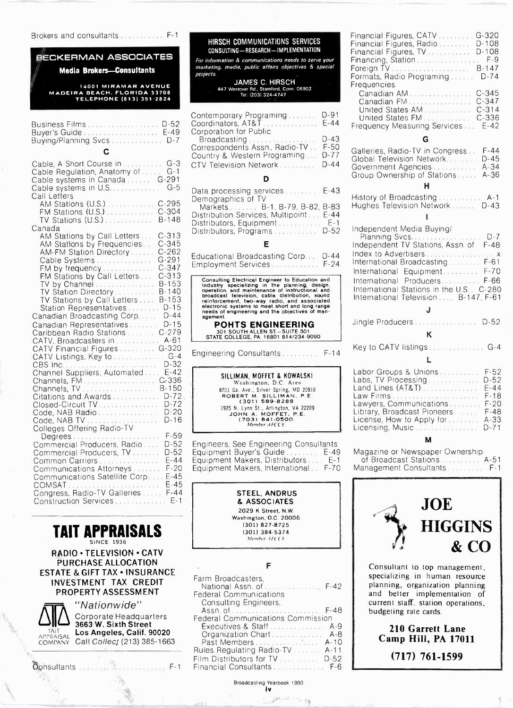Brokers and consultants ............. F-1

# BECKERMAN ASSOCIATES

Media Brokers-Consultants

14001 MIRAMAR AVENUE MADEIRA BEACH. FLORIDA 33708 TELEPHONE (813) 391-2824

| С                            | Corres<br>Countr |
|------------------------------|------------------|
| Buying/Planning Svcs D-7     | Corpor<br>- Broa |
| Business Films  D-52 Coordin | <b>COLITELI</b>  |

| Cable, A Short Course in  G-3<br>Cable Regulation, Anatomy of  G-1   | CTV Television Network<br>$D-44$                                                                   | <b>UIUUAL</b><br>Govern |
|----------------------------------------------------------------------|----------------------------------------------------------------------------------------------------|-------------------------|
| Cable systems in Canada  G-291                                       | D                                                                                                  | Group (                 |
|                                                                      | $E-43$<br>Data processing services                                                                 |                         |
| Call Letters                                                         | Demographics of TV                                                                                 | History                 |
| AM Stations (U.S.)  C-295                                            | Markets B-1, B-79, B-82, B-83                                                                      | Hughes                  |
| FM Stations (U.S.)  C-304                                            | Distribution Services, Multipoint E-44                                                             |                         |
| TV Stations (U.S.) B-148                                             | Distributors, Equipment E-1                                                                        |                         |
| Canada                                                               | Distributors, Programs D-52                                                                        | Indepe                  |
| AM Stations by Call Letters C-313                                    | Е                                                                                                  | Plani                   |
| AM Stations by Frequencies . C-345<br>AM-FM Station Directory  C-262 |                                                                                                    | Indepe                  |
| Cable Systems G-291                                                  | Educational Broadcasting Corp D-44                                                                 | Index t                 |
| FM by frequency C-347                                                | Employment Services  F-24                                                                          | Interna                 |
| FM Stations by Call Letters  C-313                                   |                                                                                                    | Interna                 |
| TV by Channel  B-153                                                 | Consulting Electrical Engineer to Education and<br>Industry specializing in the planning, design,  | Interna                 |
| TV Station Directory B-140                                           | operation, and maintenance of instructional and<br>broadcast television, cable distribution, sound | Interna                 |
| TV Stations by Call Letters B-153                                    | reinforcement, two-way radio, and associated                                                       | Interna                 |
| Station Representatives  D-15                                        | electronic systems to meet short and long range<br>needs of engineering and the objectives of man- |                         |
| Canadian Broadcasting Corp D-44                                      | agement.                                                                                           | Jingle                  |
| Canadian Representatives D-15                                        | <b>POHTS ENGINEERING</b>                                                                           |                         |
| Caribbean Radio Stations  C-279                                      | 301 SOUTH ALLEN ST.-SUITE 301<br>STATE COLLEGE, PA. 16801 814/234-9090                             |                         |
| CATV, Broadcasters in  A-61                                          |                                                                                                    | Key to                  |
| CATV Financial Figures  G-320<br>CATV Listings, Key to  G-4          | $F - 14$                                                                                           |                         |
|                                                                      |                                                                                                    |                         |
| Channel Suppliers, Automated E-42                                    |                                                                                                    | Labor                   |
|                                                                      | SILLIMAN, MOFFET & KOWALSKI<br>Washington, D.C. Area                                               | Labs, 1                 |
| Channels, TV  B-150                                                  | 8701 Ga. Ave., Silver Spring, MD 20910                                                             | Land L                  |
| Citations and Awards D-724                                           | ROBERT M. SILLIMAN, P.E.<br>(301) 589.8288                                                         | Law Fi                  |
| Closed-Circuit TV  D-72                                              | 1925 N. Lynn St., Arlington, VA 22209                                                              | Lawye                   |
| Code, NAB Radio  D-20                                                | JOHN A. MOFFET, P.E.                                                                               | Library                 |
| Code, NAB TV D-16                                                    | (703) 841-0500<br>Member AFCCE                                                                     | Licens<br>Licens        |
| Colleges Offering Radio-TV<br>Degrees                                |                                                                                                    |                         |
| Commercial Producers, Radio<br>$D-52$                                | Engineers, See Engineering Consultants                                                             |                         |
| $D-52$<br>Commercial Producers, TV                                   | Equipment Buyer's Guide E-49                                                                       | Magaz                   |
| $E - 44$<br>Common Carriers                                          | Equipment Makers, Distributors E-1                                                                 | of Bi                   |
| Communications Attorneys F-20                                        | Equipment Makers, International F-70                                                               | Manag                   |
| Communications Satellite Corp E-45                                   |                                                                                                    |                         |
| COMSAT E-45                                                          |                                                                                                    |                         |
| Congress, Radio-TV Galleries  F-44                                   | <b>STEEL, ANDRUS</b>                                                                               |                         |
| Construction Services  E-1                                           | & ASSOCIATES                                                                                       |                         |



RADIO · TELEVISION · CATV PURCHASE ALLOCATION ESTATE & GIFT TAX . INSURANCE INVESTMENT TAX CREDIT PROPERTY ASSESSMENT



Q'Nationwide" Corporate Headquarters 3663 W. Sixth Street TAIT Los Angeles, Calif. 90020 COMPANY Call Collect (213) 385-1663

Consultants Formation of the Consultants F-1

| HIRSCH COMMUNICATIONS SERVICES<br>CONSULTING - RESEARCH - IMPLEMENTATION<br>For information & communications needs to serve your<br>marketing, media, public affairs objectives & special<br>projects.<br><b>JAMES C. HIRSCH</b><br>447 Westover Rd., Stamford, Conn. 06902<br>Tel: (203) 324-4747                                                                        | Financia<br>Financia<br>Financia<br>Financir<br>Foreign<br>Formats<br>Frequen<br>Canao<br>Canad |
|---------------------------------------------------------------------------------------------------------------------------------------------------------------------------------------------------------------------------------------------------------------------------------------------------------------------------------------------------------------------------|-------------------------------------------------------------------------------------------------|
| Contemporary Programing<br>D-91<br>$E-44$<br>Coordinators, AT&T<br>Corporation for Public                                                                                                                                                                                                                                                                                 | United<br>United<br>Frequen                                                                     |
| $D-43$<br>F-50<br>$D - 77$<br>Country & Western Programing<br>$D-44$<br>CTV Television Network                                                                                                                                                                                                                                                                            | Gallerie<br>Global 1<br>Governr<br>Group C                                                      |
| D                                                                                                                                                                                                                                                                                                                                                                         |                                                                                                 |
| Data processing services E-43<br>Demographics of TV<br>Markets  B-1, B-79, B-82, B-83<br>Distribution Services, Multipoint<br>$F-44$<br>Distributors, Equipment  E-1<br>$D-52$                                                                                                                                                                                            | History<br><b>Hughes</b><br>Indeper                                                             |
| Distributors, Programs                                                                                                                                                                                                                                                                                                                                                    | Plann                                                                                           |
| F<br>$D - 44$<br>Educational Broadcasting Corp<br>$F-24$<br>Employment Services                                                                                                                                                                                                                                                                                           | Indeper<br>Index to<br>Internat<br>Internat                                                     |
| Consulting Electrical Engineer to Education and<br>Industry specializing in the planning, design,<br>operation, and maintenance of instructional and<br>broadcast television, cable distribution, sound<br>reinforcement, two-way radio, and associated<br>electronic systems to meet short and long range<br>needs of engineering and the objectives of man-<br>agement. | Internat<br>Internat<br>Internat                                                                |
| POHTS ENGINEERING<br>301 SOUTH ALLEN ST.-SUITE 301<br>STATE COLLEGE, PA. 16801 814/234-9090                                                                                                                                                                                                                                                                               | Jingle F                                                                                        |
| Engineering Consultants<br>$F-14$                                                                                                                                                                                                                                                                                                                                         | Key to (                                                                                        |



F. Grant

| Farm Broadcasters,                | spe         |
|-----------------------------------|-------------|
| National Assn. of  F-42           | plar        |
| Federal Communications            | and         |
| Consulting Engineers,             | <b>CUTI</b> |
|                                   | bud         |
| Federal Communications Commission |             |
| Executives & Staff A-9            |             |
| Organization Chart A-8            |             |
| Past Members A-10                 |             |
| Rules Regulating Radio-TV A-11    |             |
| Film Distributors for TV D-52     |             |
| Financial Consultants F-6         |             |
|                                   |             |

Broadcasting Yearbook 1980 IV

 $\mathbb{R}^{\mathbb{R}^d}$ 

| Financial Figures, CATV  G-320<br>Financial Figures, Radio  D-108<br>Financial Figures, TV. D-108<br>Financing, Station  F-9<br>Formats, Radio Programing D-74<br>Frequencies<br>Canadian AM<br>$C - 345$<br>$C - 347$<br>Canadian FM<br>$C - 314$<br>United States AM<br>$C - 336$<br>United States FM |
|---------------------------------------------------------------------------------------------------------------------------------------------------------------------------------------------------------------------------------------------------------------------------------------------------------|
| Frequency Measuring Services  E-42                                                                                                                                                                                                                                                                      |
| G                                                                                                                                                                                                                                                                                                       |
| $F - 44$<br>Galleries, Radio-TV in Congress<br>$D - 45$<br>Global Television Network<br>$A - 34$<br>Government Agencies<br>Group Ownership of Stations<br>$A - 36$                                                                                                                                      |
| н                                                                                                                                                                                                                                                                                                       |
| History of Broadcasting A-1<br>Hughes Television Network  D-43                                                                                                                                                                                                                                          |
|                                                                                                                                                                                                                                                                                                         |
| Independent Media Buying/<br>Independent TV Stations, Assn. of F-48<br>International Broadcasting F-61<br>International Equipment F-70<br>International Producers F-66<br>International Stations in the U.S. C-280<br>International Television  B-147, F-61                                             |
| J                                                                                                                                                                                                                                                                                                       |
| $D-52$                                                                                                                                                                                                                                                                                                  |
| ĸ                                                                                                                                                                                                                                                                                                       |
|                                                                                                                                                                                                                                                                                                         |

Key to CATV listings . . . . . . . . . . . . . G-4

#### L

#### M

Magazine or Newspaper Ownership of Broadcast Stations ............ A-51 Management Consultants . . . . . . . . F-1



Consultant to top management, specializing in human resource planning, organization planning and better implementation of current staff, station operations, budgeting rate cards.

210 Garrett Lane Camp Hill, PA 17011 (717) 761-1599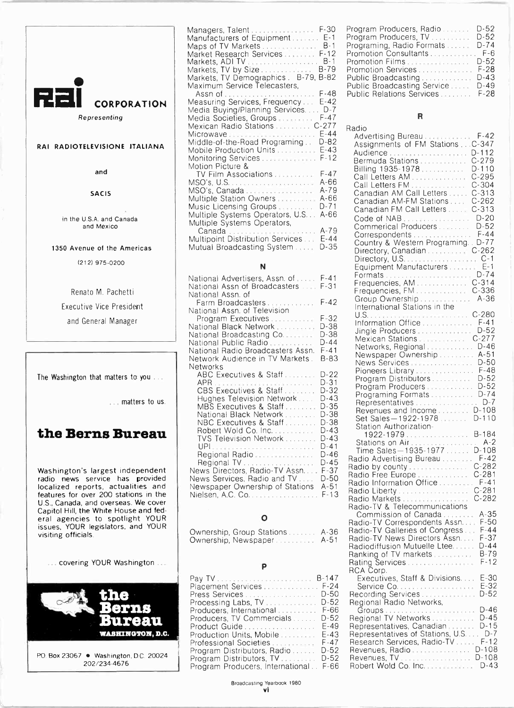

Representing

### RAI RADIOTELEVISIONE ITALIANA

and

#### SACIS

in the U.S.A. and Canada and Mexico

1350 Avenue of the Americas

(212) 975-0200

Renato M. Pachetti Executive Vice President and General Manager

The Washington that matters to you ...

... matters to us.

# the Berns Bureau

Washington's largest independent radio news service has provided localized reports, actualities and **News** features for over 200 stations in the | Niels U.S., Canada, and overseas. We cover<br>Capitol Hill, the White House and fed-Capitol Hill, the White House and fed- eral agencies to spotlight YOUR  $\parallel$ issues, YOUR legislators, and YOUR  $\begin{bmatrix} 1 & 1 \end{bmatrix}$ visiting officials.

covering YOUR Washington ...



202/234-4676

| Managers, Talent F-30                |          | Program                               |
|--------------------------------------|----------|---------------------------------------|
| Manufacturers of Equipment E-1       |          | Program                               |
| Maps of TV Markets                   | B-1      | Programi                              |
| Market Research Services             | $F - 12$ | Promotio                              |
| Markets, ADI TV                      | B-1      | Promotio                              |
| Markets, TV by Size                  | B-79     | Promotio                              |
| Markets, TV Demographics. B-79, B-82 |          | Public Bi                             |
| Maximum Service Telecasters,         |          | Public Bı                             |
|                                      | F-48     | Public Re                             |
| Measuring Services, Frequency        | $E - 42$ |                                       |
| Media Buying/Planning Services       | $D - 7$  |                                       |
| Media Societies, Groups              | $F-47$   |                                       |
| Mexican Radio Stations  C-277        |          | Radio                                 |
|                                      | $E - 44$ | Adverti                               |
| Middle-of-the-Road Programing        | D-82     | Assign                                |
| Mobile Production Units              | $E-43$   | Audien                                |
|                                      | F-12     | Bermu                                 |
| Motion Picture &                     | F-47     | Billing                               |
| TV Film Associations                 | A-66     | Call Le                               |
| MSO's, Canada                        | A-79     | Call Le                               |
| Multiple Station Owners              | A-66     | Canadi                                |
| Music Licensing Groups               | D-71     | Canadi                                |
| Multiple Systems Operators, U.S      | A-66     | Canad                                 |
| Multiple Systems Operators,          |          | Code c                                |
|                                      | A-79     | Comm                                  |
| Multipoint Distribution Services     | $E - 44$ | Corres                                |
| Mutual Broadcasting System           | D-35     | Countr                                |
|                                      |          | Directo<br>$\bigcap_{r\in\mathbb{N}}$ |
|                                      |          |                                       |

#### N

| F-42<br>Farm Broadcasters<br>National Assn. of Television<br>U.S.<br>$F-32$<br>Program Executives<br>D-38<br>National Black Network<br>D-38<br>National Broadcasting Co.<br>D-44<br>National Public Radio<br>$F - 41$<br>National Radio Broadcasters Assn.<br>B-83<br>Network Audience in TV Markets .<br>News<br>Networks<br>$D-22$<br>ABC Executives & Staff<br>D-31<br>CBS Executives & Staff<br>D-32<br>$D-43$<br>Hughes Television Network<br>D-35<br>MBS Executives & Staff<br>D-38<br>National Black Network<br>D-38<br>NBC Executives & Staff<br>D-43<br>Robert Wold Co. Inc.<br>D-43<br><b>TVS Television Network </b><br>D-41<br>D-46<br>Regional Radio<br>Regional TV.<br>D-45<br>News Directors, Radio-TV Assn<br>$F-37$<br>News Services, Radio and TV<br>D-50 | National Advertisers, Assn. of  F-41<br>National Assn of Broadcasters<br>National Assn. of | $F - 31$ | Forma<br>Freque<br>Freque                                                                                                                                         |
|-----------------------------------------------------------------------------------------------------------------------------------------------------------------------------------------------------------------------------------------------------------------------------------------------------------------------------------------------------------------------------------------------------------------------------------------------------------------------------------------------------------------------------------------------------------------------------------------------------------------------------------------------------------------------------------------------------------------------------------------------------------------------------|--------------------------------------------------------------------------------------------|----------|-------------------------------------------------------------------------------------------------------------------------------------------------------------------|
|                                                                                                                                                                                                                                                                                                                                                                                                                                                                                                                                                                                                                                                                                                                                                                             |                                                                                            |          | Group<br>Interna                                                                                                                                                  |
|                                                                                                                                                                                                                                                                                                                                                                                                                                                                                                                                                                                                                                                                                                                                                                             |                                                                                            |          | Inform<br>Jingle<br>Mexica<br>Netwo<br>Newsp                                                                                                                      |
| F-13<br>Nielsen, A.C. Co.                                                                                                                                                                                                                                                                                                                                                                                                                                                                                                                                                                                                                                                                                                                                                   | Newspaper Ownership of Stations                                                            | $A - 51$ | Pionee<br>Progra<br>Progra<br>Progra<br>Repre:<br>Reven<br>Set Sa<br>Station<br>192<br>Station<br>Time:<br>Radio A<br>Radio b<br>Radio Fr<br>Radio In<br>Radio Li |

## 0

Ownership, Group Stations . . . . . . A-36 Radio-L Ownership, Newspaper A. . . . . . . . . A-51 Radio-

#### Þ

|                                  | $B-147$ | Exect   |
|----------------------------------|---------|---------|
| Placement Services               | $F-24$  | Servio  |
| Press Services                   | D-50    | Recordi |
| Processing Labs, TV              | D-52    | Regiona |
| Producers, International         | F-66    | Group   |
| Producers, TV Commercials        | D-52    | Regiona |
| Product Guide                    | E-49    | Represe |
| Production Units, Mobile         | F-43    | Represe |
| Professional Societies           | F-47    | Researd |
| Program Distributors, Radio      | D-52    | Revenu  |
| Program Distributors, TV         | D-52    | Revenu  |
| Program Producers, International | F-66    | Robert  |
|                                  |         |         |

| Program Producers, Radio         | $D-52$   |
|----------------------------------|----------|
| Program Producers, TV            | $D-52$   |
| Programing, Radio Formats        | $D - 74$ |
| Promotion Consultants F-6        |          |
|                                  |          |
| Promotion Services F-28          |          |
| Public Broadcasting D-43         |          |
| Public Broadcasting Service D-49 |          |
| Public Relations Services F-28   |          |
|                                  |          |

#### R

| Radio                                                     |           |
|-----------------------------------------------------------|-----------|
| Advertising Bureau  F-42                                  |           |
| Assignments of FM Stations  C-347                         |           |
| Audience  D-112                                           |           |
| Bermuda Stations  C-279                                   |           |
| Billing 1935-1978                                         | $D-110$   |
| Call Letters AM                                           | $C-295$   |
| Call Letters FM  C-304<br>Canadian AM Call Letters  C-313 |           |
|                                                           |           |
| Canadian AM-FM Stations                                   | $C-262$   |
| Canadian FM Call Letters                                  | $C - 313$ |
|                                                           | $D-20$    |
| Commerical Producers                                      | D-52      |
| Correspondents                                            | $F-44$    |
| Country & Western Programing. . D-77                      |           |
| Directory, Canadian  C-262                                |           |
|                                                           |           |
| Equipment Manufacturers E-1                               |           |
|                                                           |           |
| Frequencies, AM  C-314                                    |           |
| Frequencies, FM.  C-336                                   |           |
| Group Ownership  A-36                                     |           |
| International Stations in the                             |           |
|                                                           |           |
| Information Office F-41                                   |           |
| Jingle Producers                                          | $D-52$    |
| Mexican Stations  C-277                                   |           |
| Networks, Regional  D-46                                  |           |
| Newspaper Ownership  A-51                                 |           |
| News Services  D-50                                       |           |
| Pioneers Library F-48<br>Program Distributors  D-52       |           |
| Program Producers D-52                                    |           |
| Programing Formats  D-74                                  |           |
| Representatives  D-7                                      |           |
| Revenues and Income D-108                                 |           |
| Set Sales-1922-1978 D-110                                 |           |
| Station Authorization-                                    |           |
| 1922-1979B-184                                            |           |
| Stations on Air.                                          | $A-2$     |
| Time Sales-1935-1977 D-108                                |           |
| Radio Advertising Bureau                                  | F-42      |
| Radio by county C-282                                     |           |
| Radio Free Europe  C-281                                  |           |
| Radio Information Office  F-41                            |           |
| Radio Liberty  C-281                                      |           |
| Radio Markets C-282                                       |           |
| Radio-TV & Telecommunications                             |           |
| Commission of Canada  A-35                                |           |
| Radio-TV Correspondents Assn F-50                         |           |
| Radio-TV Galleries of Congress                            | F-44      |
| Radio-TV News Directors Assn.                             | $F-37$    |
| Radiodiffusion Mutuelle Ltee                              | D-44      |
| Ranking of TV markets                                     | B-79      |
| Rating Services                                           | F-12      |
| RCA Corp.<br>Executives, Staff & Divisions                | E-30      |
|                                                           | $E-32$    |
| Recording Services                                        | D-52      |
|                                                           |           |
| Regional Radio Networks,                                  | D-46      |
| Regional TV Networks                                      | D-45      |
| Representatives, Canadian                                 | D-15      |
| Representatives of Stations, U.S                          | $D-7$     |
| Research Services, Radio-TV                               | $F-12$    |
| Revenues, Radio                                           | D-108     |
| Revenues, TV                                              | D-108     |
| Robert Wold Co. Inc.                                      | D-43      |
|                                                           |           |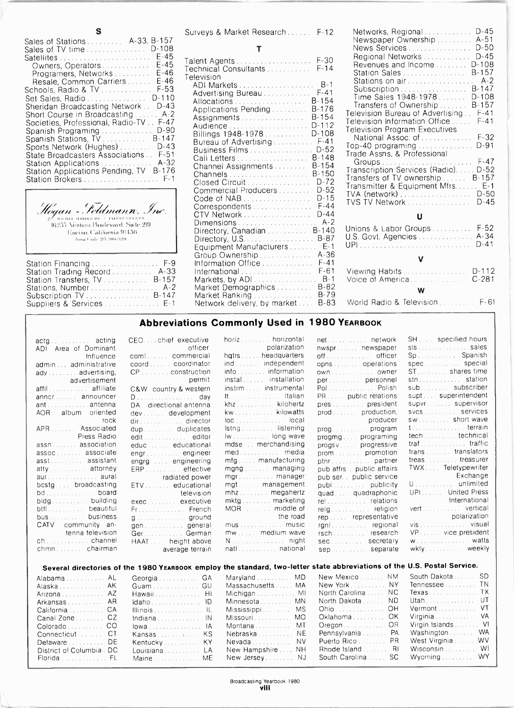|                                                                                                                                                                                                                                                                                                                                                                                                                                                                                                                                                                                          | Surveys                                                                                                                                                              |
|------------------------------------------------------------------------------------------------------------------------------------------------------------------------------------------------------------------------------------------------------------------------------------------------------------------------------------------------------------------------------------------------------------------------------------------------------------------------------------------------------------------------------------------------------------------------------------------|----------------------------------------------------------------------------------------------------------------------------------------------------------------------|
| Sales of Stations  A-33, B-157<br>D-108<br>Sales of TV time                                                                                                                                                                                                                                                                                                                                                                                                                                                                                                                              |                                                                                                                                                                      |
| $E-45$<br>Satellites<br>F-45<br>Owners, Operators<br>$E-46$<br>Programers, Networks<br>$E-46$<br>Resale, Common Carriers<br>F-53<br>Schools, Radio & TV<br>$D-110$<br>Set Sales, Radio<br>$D-43$<br>Sheridan Broadcasting Network<br>- A-2<br>Short Course in Broadcasting<br>$F - 47$<br>Societies, Professional, Radio-TV<br>D-90<br>Spanish Programing<br>B-147<br>Spanish Stations, TV.<br>$D-43$<br>Sports Network (Hughes)<br>$F - 51$<br>State Broadcasters Associations<br>A-32<br>Station Applications<br>B-176<br>Station Applications Pending, TV<br>$F-1$<br>Station Brokers | Talent Ao<br>Technica<br>Televisio<br>adi m;<br>Advert<br>Alloca<br>Applic<br>Assign<br>Audier<br>Billing<br>Bureat<br>Busine<br>Call Le<br>Chann<br>Chann<br>Closer |
|                                                                                                                                                                                                                                                                                                                                                                                                                                                                                                                                                                                          |                                                                                                                                                                      |

1,11A 11111INEIIS t'UNNI.I.TANTS 112..55 \ i.nturd lionlevdrd. Suite 219 lineino, California 91436 Arca Code 215 1086-3201

| Station Financing F-9       | Inform      |
|-----------------------------|-------------|
|                             | Intern      |
| Station Transfers, TV B-157 | Marke       |
| Stations, Number A-2        | Marke       |
| Subscription TV B-147       | Marke       |
|                             | <b>Netw</b> |

|  | Surveys & Market Research | $F-12$ | Netw            |
|--|---------------------------|--------|-----------------|
|  |                           |        | $N + 2 + 3 + 3$ |

| ADI Markets  B-1<br>$= -53$<br>Subscription. B-147<br>Advertising Bureau F-41<br>Time Sales 1948-1978 D-108<br>$-110$<br>Allocations  B-154<br>Transfers of Ownership B-157<br>$D-43$<br>Applications Pending B-176<br>Television Bureau of Advertising F-41<br>$A-2$<br>Assignments B-154<br>Television Information Office F-41<br>$F-47$<br>Television Program Executives<br>$0 - 90$<br>Billings 1948-1978.<br>D-108<br>National Assoc. of  F-32<br>-147<br>Bureau of Advertising F-41<br>Top-40 programing D-91<br>$D-43$<br>Business Films  D-52<br>Trade Assns, & Professional<br>$F-51$<br>Call Letters B-148<br>$A-32$<br>Channel Assignments  B-154<br>Transcription Services (Radio) D-52<br>-176<br>Channels  B-150<br>Transfers of TV ownership  B-157<br>$F-1$<br>Transmitter & Equipment Mfrs E-1<br>Commercial Producers  D-52<br>TVA (network)  D-50<br>Code of NAB <b>Election Code of NAB</b><br>Correspondents F-44<br>v.<br>CTV Network D-44<br>U<br>Dimensions  A-2<br>Unions & Labor Groups  F-52<br>Directory, Canadian  B-140<br>U.S. Govt. Agencies  A-34<br>Equipment Manufacturers  E-1<br>Group Ownership A-36<br>V<br>Information Office F-41<br>$F-9$<br>International F-61<br>$A - 33$<br>$-157$<br>$A - 2$<br>Market Demographics B-82<br>W<br>Market Ranking B-79<br>$-147$ |  |
|--------------------------------------------------------------------------------------------------------------------------------------------------------------------------------------------------------------------------------------------------------------------------------------------------------------------------------------------------------------------------------------------------------------------------------------------------------------------------------------------------------------------------------------------------------------------------------------------------------------------------------------------------------------------------------------------------------------------------------------------------------------------------------------------------------------------------------------------------------------------------------------------------------------------------------------------------------------------------------------------------------------------------------------------------------------------------------------------------------------------------------------------------------------------------------------------------------------------------------------------------------------------------------------------------------------|--|
| World Radio & Television F-61<br>Network delivery, by market B-83<br>E-1                                                                                                                                                                                                                                                                                                                                                                                                                                                                                                                                                                                                                                                                                                                                                                                                                                                                                                                                                                                                                                                                                                                                                                                                                                     |  |

| Networks, Regional D-45<br>Newspaper Ownership A-51<br>News Services<br>Regional Networks<br>Revenues and Income<br>Station Sales<br>Stations on air A-2<br>Subscription<br>Time Sales 1948-1978<br>Transfers of Ownership B-157<br>Television Bureau of Advertising F-41<br>Television Information Office<br><b>Television Program Executives</b><br>National Assoc. of  F-32<br>Trade Assns, & Professional<br>Transcription Services (Radio)D-52<br>Transfers of TV ownership  B-157<br>Transmitter & Equipment Mfrs E-1<br>TVA (network)  D-50<br>TVS TV Network | $D-50$<br>$D-45$<br>$D-108$<br>$B-157$<br>$B-147$<br>$D-108$<br>$F-41$<br>$D-91$<br>$D-45$ |
|----------------------------------------------------------------------------------------------------------------------------------------------------------------------------------------------------------------------------------------------------------------------------------------------------------------------------------------------------------------------------------------------------------------------------------------------------------------------------------------------------------------------------------------------------------------------|--------------------------------------------------------------------------------------------|
| U                                                                                                                                                                                                                                                                                                                                                                                                                                                                                                                                                                    |                                                                                            |
| Unions & Labor Groups  F-52<br>U.S. Govt. Agencies  A-34                                                                                                                                                                                                                                                                                                                                                                                                                                                                                                             | $D - 41$                                                                                   |
|                                                                                                                                                                                                                                                                                                                                                                                                                                                                                                                                                                      |                                                                                            |
|                                                                                                                                                                                                                                                                                                                                                                                                                                                                                                                                                                      |                                                                                            |
| w<br>$\mathbf{a}$ . The state $\mathbf{a}$ is the state of $\mathbf{a}$                                                                                                                                                                                                                                                                                                                                                                                                                                                                                              | $\Gamma$ $\Gamma$ $\sim$ $\Gamma$                                                          |
|                                                                                                                                                                                                                                                                                                                                                                                                                                                                                                                                                                      |                                                                                            |

## Abbreviations Commonly Used in 1980 YEARBOOK

| horiz horizontal<br>SH specified hours<br>net network<br>CEOchief executive<br>actg acting<br>polarization<br>officer<br>nwspr newspaper<br>ADI Area of Dominant<br>hatrs  headquarters<br>Sp. Spanish<br>combination commercial<br>Influence<br>spec special<br>coordcoordinator<br>admin administrative<br>ST shares time<br>info information<br>ady advertising,<br>stn station<br>instal installation<br>permit<br>per personnel<br>advertisement<br>affil affiliate<br>sub  subscriber<br>Pol Polish<br>instrm instrumental<br>C&W country & western<br>supt superintendent<br>It. Italian<br>PR public relations<br>annor announcer<br>supvr supervisor<br>pres president<br>khz kilohertz<br>ant antenna<br>DA directional antenna<br>svcs services<br>prod production,<br>AOR album oriented<br>sw short wave<br><b>Example 10</b> producer<br>-rock<br>dir director<br>t terrain<br>APR Associated<br>Istng listening<br>dup duplicates<br>tech technical<br>Press Radio<br>lw long wave<br>progmg programing<br>edit  editor<br>mdse  merchandising<br>assn association<br>progsvprogressive<br>trans translators<br>med media<br>assoc associate<br>prom promotion<br>engr engineer<br>treas treasurer<br>mfg manufacturing<br>asst assistant<br>ptnr. partner<br>engrg engineering<br>$TWX$ Teletypewriter<br>atty attorney<br>mang managing<br>pub affrs public affairs<br>ERP effective<br>Exchange<br>aur aural<br>radiated power<br>mgr manager<br>pub ser. public service<br>U. unlimited<br>mgt management<br>publication publicity<br>bcstg broadcasting<br>ETV educational<br>UPI United Press<br>mhzmegahertz<br>quad  quadraphonic<br><b>Example 18</b> television<br>International<br>bldg building<br>exec executive<br>vert vertical<br>Fr French<br>polarization<br>the road<br>bus  business<br>rep representative<br>g. ground<br>vis visual<br>CATV community an-<br>gengeneral<br>Ger. German<br>mw medium wave<br>tenna television<br>rsch research<br>VP vice president<br>W. watts<br>ch channel<br>HAAT height above<br>N. night<br>sec secretary<br>wkly weekly<br>natl national<br>sep separate<br>average terrain |  |  |  |
|--------------------------------------------------------------------------------------------------------------------------------------------------------------------------------------------------------------------------------------------------------------------------------------------------------------------------------------------------------------------------------------------------------------------------------------------------------------------------------------------------------------------------------------------------------------------------------------------------------------------------------------------------------------------------------------------------------------------------------------------------------------------------------------------------------------------------------------------------------------------------------------------------------------------------------------------------------------------------------------------------------------------------------------------------------------------------------------------------------------------------------------------------------------------------------------------------------------------------------------------------------------------------------------------------------------------------------------------------------------------------------------------------------------------------------------------------------------------------------------------------------------------------------------------------------------------------------------------------------------------------------------------------------------------------------------------------------------------------------------------------------------------------------------------------------------------------------------------------------------------------------------------------------------------------------------------------------------------------------------------------------------------------------------------------------------------------------------------------------------------------------------------------------|--|--|--|
|                                                                                                                                                                                                                                                                                                                                                                                                                                                                                                                                                                                                                                                                                                                                                                                                                                                                                                                                                                                                                                                                                                                                                                                                                                                                                                                                                                                                                                                                                                                                                                                                                                                                                                                                                                                                                                                                                                                                                                                                                                                                                                                                                        |  |  |  |
|                                                                                                                                                                                                                                                                                                                                                                                                                                                                                                                                                                                                                                                                                                                                                                                                                                                                                                                                                                                                                                                                                                                                                                                                                                                                                                                                                                                                                                                                                                                                                                                                                                                                                                                                                                                                                                                                                                                                                                                                                                                                                                                                                        |  |  |  |
|                                                                                                                                                                                                                                                                                                                                                                                                                                                                                                                                                                                                                                                                                                                                                                                                                                                                                                                                                                                                                                                                                                                                                                                                                                                                                                                                                                                                                                                                                                                                                                                                                                                                                                                                                                                                                                                                                                                                                                                                                                                                                                                                                        |  |  |  |
|                                                                                                                                                                                                                                                                                                                                                                                                                                                                                                                                                                                                                                                                                                                                                                                                                                                                                                                                                                                                                                                                                                                                                                                                                                                                                                                                                                                                                                                                                                                                                                                                                                                                                                                                                                                                                                                                                                                                                                                                                                                                                                                                                        |  |  |  |
|                                                                                                                                                                                                                                                                                                                                                                                                                                                                                                                                                                                                                                                                                                                                                                                                                                                                                                                                                                                                                                                                                                                                                                                                                                                                                                                                                                                                                                                                                                                                                                                                                                                                                                                                                                                                                                                                                                                                                                                                                                                                                                                                                        |  |  |  |
|                                                                                                                                                                                                                                                                                                                                                                                                                                                                                                                                                                                                                                                                                                                                                                                                                                                                                                                                                                                                                                                                                                                                                                                                                                                                                                                                                                                                                                                                                                                                                                                                                                                                                                                                                                                                                                                                                                                                                                                                                                                                                                                                                        |  |  |  |
|                                                                                                                                                                                                                                                                                                                                                                                                                                                                                                                                                                                                                                                                                                                                                                                                                                                                                                                                                                                                                                                                                                                                                                                                                                                                                                                                                                                                                                                                                                                                                                                                                                                                                                                                                                                                                                                                                                                                                                                                                                                                                                                                                        |  |  |  |
|                                                                                                                                                                                                                                                                                                                                                                                                                                                                                                                                                                                                                                                                                                                                                                                                                                                                                                                                                                                                                                                                                                                                                                                                                                                                                                                                                                                                                                                                                                                                                                                                                                                                                                                                                                                                                                                                                                                                                                                                                                                                                                                                                        |  |  |  |
|                                                                                                                                                                                                                                                                                                                                                                                                                                                                                                                                                                                                                                                                                                                                                                                                                                                                                                                                                                                                                                                                                                                                                                                                                                                                                                                                                                                                                                                                                                                                                                                                                                                                                                                                                                                                                                                                                                                                                                                                                                                                                                                                                        |  |  |  |
|                                                                                                                                                                                                                                                                                                                                                                                                                                                                                                                                                                                                                                                                                                                                                                                                                                                                                                                                                                                                                                                                                                                                                                                                                                                                                                                                                                                                                                                                                                                                                                                                                                                                                                                                                                                                                                                                                                                                                                                                                                                                                                                                                        |  |  |  |
|                                                                                                                                                                                                                                                                                                                                                                                                                                                                                                                                                                                                                                                                                                                                                                                                                                                                                                                                                                                                                                                                                                                                                                                                                                                                                                                                                                                                                                                                                                                                                                                                                                                                                                                                                                                                                                                                                                                                                                                                                                                                                                                                                        |  |  |  |
|                                                                                                                                                                                                                                                                                                                                                                                                                                                                                                                                                                                                                                                                                                                                                                                                                                                                                                                                                                                                                                                                                                                                                                                                                                                                                                                                                                                                                                                                                                                                                                                                                                                                                                                                                                                                                                                                                                                                                                                                                                                                                                                                                        |  |  |  |
|                                                                                                                                                                                                                                                                                                                                                                                                                                                                                                                                                                                                                                                                                                                                                                                                                                                                                                                                                                                                                                                                                                                                                                                                                                                                                                                                                                                                                                                                                                                                                                                                                                                                                                                                                                                                                                                                                                                                                                                                                                                                                                                                                        |  |  |  |
|                                                                                                                                                                                                                                                                                                                                                                                                                                                                                                                                                                                                                                                                                                                                                                                                                                                                                                                                                                                                                                                                                                                                                                                                                                                                                                                                                                                                                                                                                                                                                                                                                                                                                                                                                                                                                                                                                                                                                                                                                                                                                                                                                        |  |  |  |
|                                                                                                                                                                                                                                                                                                                                                                                                                                                                                                                                                                                                                                                                                                                                                                                                                                                                                                                                                                                                                                                                                                                                                                                                                                                                                                                                                                                                                                                                                                                                                                                                                                                                                                                                                                                                                                                                                                                                                                                                                                                                                                                                                        |  |  |  |
|                                                                                                                                                                                                                                                                                                                                                                                                                                                                                                                                                                                                                                                                                                                                                                                                                                                                                                                                                                                                                                                                                                                                                                                                                                                                                                                                                                                                                                                                                                                                                                                                                                                                                                                                                                                                                                                                                                                                                                                                                                                                                                                                                        |  |  |  |
|                                                                                                                                                                                                                                                                                                                                                                                                                                                                                                                                                                                                                                                                                                                                                                                                                                                                                                                                                                                                                                                                                                                                                                                                                                                                                                                                                                                                                                                                                                                                                                                                                                                                                                                                                                                                                                                                                                                                                                                                                                                                                                                                                        |  |  |  |
|                                                                                                                                                                                                                                                                                                                                                                                                                                                                                                                                                                                                                                                                                                                                                                                                                                                                                                                                                                                                                                                                                                                                                                                                                                                                                                                                                                                                                                                                                                                                                                                                                                                                                                                                                                                                                                                                                                                                                                                                                                                                                                                                                        |  |  |  |
|                                                                                                                                                                                                                                                                                                                                                                                                                                                                                                                                                                                                                                                                                                                                                                                                                                                                                                                                                                                                                                                                                                                                                                                                                                                                                                                                                                                                                                                                                                                                                                                                                                                                                                                                                                                                                                                                                                                                                                                                                                                                                                                                                        |  |  |  |
|                                                                                                                                                                                                                                                                                                                                                                                                                                                                                                                                                                                                                                                                                                                                                                                                                                                                                                                                                                                                                                                                                                                                                                                                                                                                                                                                                                                                                                                                                                                                                                                                                                                                                                                                                                                                                                                                                                                                                                                                                                                                                                                                                        |  |  |  |
|                                                                                                                                                                                                                                                                                                                                                                                                                                                                                                                                                                                                                                                                                                                                                                                                                                                                                                                                                                                                                                                                                                                                                                                                                                                                                                                                                                                                                                                                                                                                                                                                                                                                                                                                                                                                                                                                                                                                                                                                                                                                                                                                                        |  |  |  |
|                                                                                                                                                                                                                                                                                                                                                                                                                                                                                                                                                                                                                                                                                                                                                                                                                                                                                                                                                                                                                                                                                                                                                                                                                                                                                                                                                                                                                                                                                                                                                                                                                                                                                                                                                                                                                                                                                                                                                                                                                                                                                                                                                        |  |  |  |
|                                                                                                                                                                                                                                                                                                                                                                                                                                                                                                                                                                                                                                                                                                                                                                                                                                                                                                                                                                                                                                                                                                                                                                                                                                                                                                                                                                                                                                                                                                                                                                                                                                                                                                                                                                                                                                                                                                                                                                                                                                                                                                                                                        |  |  |  |
|                                                                                                                                                                                                                                                                                                                                                                                                                                                                                                                                                                                                                                                                                                                                                                                                                                                                                                                                                                                                                                                                                                                                                                                                                                                                                                                                                                                                                                                                                                                                                                                                                                                                                                                                                                                                                                                                                                                                                                                                                                                                                                                                                        |  |  |  |
|                                                                                                                                                                                                                                                                                                                                                                                                                                                                                                                                                                                                                                                                                                                                                                                                                                                                                                                                                                                                                                                                                                                                                                                                                                                                                                                                                                                                                                                                                                                                                                                                                                                                                                                                                                                                                                                                                                                                                                                                                                                                                                                                                        |  |  |  |
|                                                                                                                                                                                                                                                                                                                                                                                                                                                                                                                                                                                                                                                                                                                                                                                                                                                                                                                                                                                                                                                                                                                                                                                                                                                                                                                                                                                                                                                                                                                                                                                                                                                                                                                                                                                                                                                                                                                                                                                                                                                                                                                                                        |  |  |  |
|                                                                                                                                                                                                                                                                                                                                                                                                                                                                                                                                                                                                                                                                                                                                                                                                                                                                                                                                                                                                                                                                                                                                                                                                                                                                                                                                                                                                                                                                                                                                                                                                                                                                                                                                                                                                                                                                                                                                                                                                                                                                                                                                                        |  |  |  |
|                                                                                                                                                                                                                                                                                                                                                                                                                                                                                                                                                                                                                                                                                                                                                                                                                                                                                                                                                                                                                                                                                                                                                                                                                                                                                                                                                                                                                                                                                                                                                                                                                                                                                                                                                                                                                                                                                                                                                                                                                                                                                                                                                        |  |  |  |

| Several directories of the 1980 YEARBOOK employ the standard, two-letter state abbreviations of the U.S. Postal Service. |                   |                            |                         |
|--------------------------------------------------------------------------------------------------------------------------|-------------------|----------------------------|-------------------------|
| Georgia GA<br>Alabama AL .                                                                                               | Maryland MD       | New Mexico NM South Dakota | -SD.                    |
| Guam GU<br>Alaska AK .                                                                                                   | MassachusettsMA   | New York NY Tennessee TN   |                         |
| Arizona AZ                                                                                                               |                   | North Carolina NC          | — Texas TX              |
| Arkansas AR                                                                                                              | Minnesota MN      | North Dakota ND            | $U \cdot U$ utah        |
| California CA<br>$\blacksquare$ llinois $\blacksquare$                                                                   | Mississippi MS    | <b>Ohio</b> OH .           | Vermont VT              |
|                                                                                                                          | Missouri MO       | Oklahoma OK                | Virginia VA             |
|                                                                                                                          | Montana MT        | Oregon  OR                 | Virgin Islands VI       |
| Connecticut CT<br>Kansas KS                                                                                              | Nebraska NE       | Pennsylvania PA            | <b>WA</b><br>Washington |
| Delaware DE<br>Kentucky  KY                                                                                              | Nevada  NV        | Puerto Rico PR             | West Virginia WV        |
| Louisiana  LA<br>District of Columbia . DC                                                                               | New Hampshire  NH | Rhode Island  RI           | WI<br>Wisconsin         |
| Florida FL<br>Maine  ME                                                                                                  | New Jersey NJ     | South Carolina SC          | Wyoming WY              |